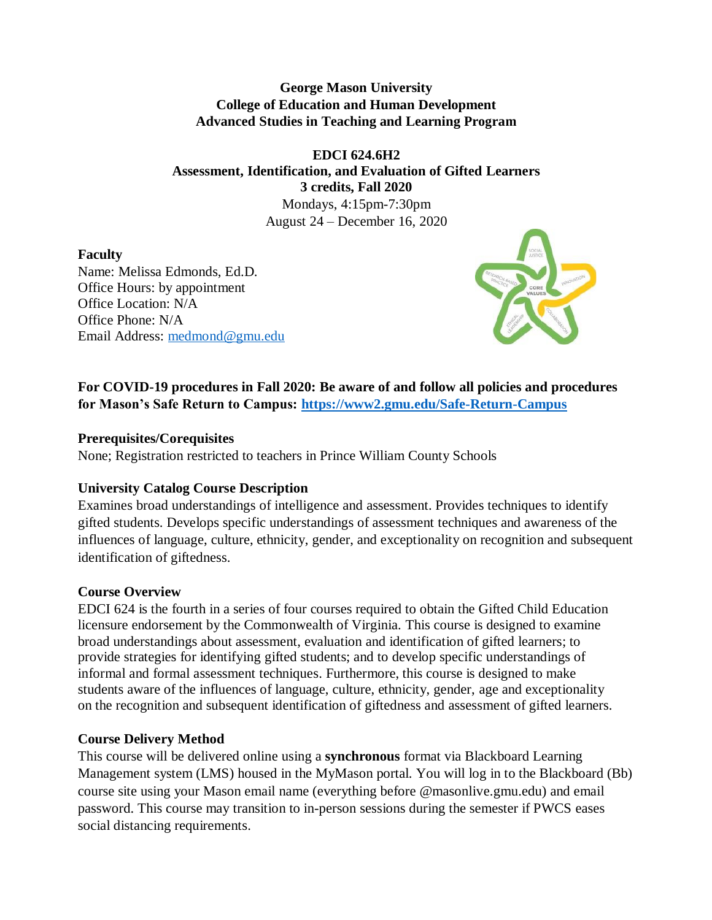### **George Mason University College of Education and Human Development Advanced Studies in Teaching and Learning Program**

# **EDCI 624.6H2 Assessment, Identification, and Evaluation of Gifted Learners 3 credits, Fall 2020**

Mondays, 4:15pm-7:30pm August 24 – December 16, 2020

## **Faculty**

Name: Melissa Edmonds, Ed.D. Office Hours: by appointment Office Location: N/A Office Phone: N/A Email Address: [medmond@gmu.edu](mailto:medmond@gmu.edu)



**For COVID-19 procedures in Fall 2020: Be aware of and follow all policies and procedures for Mason's Safe Return to Campus:<https://www2.gmu.edu/Safe-Return-Campus>**

### **Prerequisites/Corequisites**

None; Registration restricted to teachers in Prince William County Schools

## **University Catalog Course Description**

Examines broad understandings of intelligence and assessment. Provides techniques to identify gifted students. Develops specific understandings of assessment techniques and awareness of the influences of language, culture, ethnicity, gender, and exceptionality on recognition and subsequent identification of giftedness.

## **Course Overview**

EDCI 624 is the fourth in a series of four courses required to obtain the Gifted Child Education licensure endorsement by the Commonwealth of Virginia. This course is designed to examine broad understandings about assessment, evaluation and identification of gifted learners; to provide strategies for identifying gifted students; and to develop specific understandings of informal and formal assessment techniques. Furthermore, this course is designed to make students aware of the influences of language, culture, ethnicity, gender, age and exceptionality on the recognition and subsequent identification of giftedness and assessment of gifted learners.

## **Course Delivery Method**

This course will be delivered online using a **synchronous** format via Blackboard Learning Management system (LMS) housed in the MyMason portal. You will log in to the Blackboard (Bb) course site using your Mason email name (everything before @masonlive.gmu.edu) and email password. This course may transition to in-person sessions during the semester if PWCS eases social distancing requirements.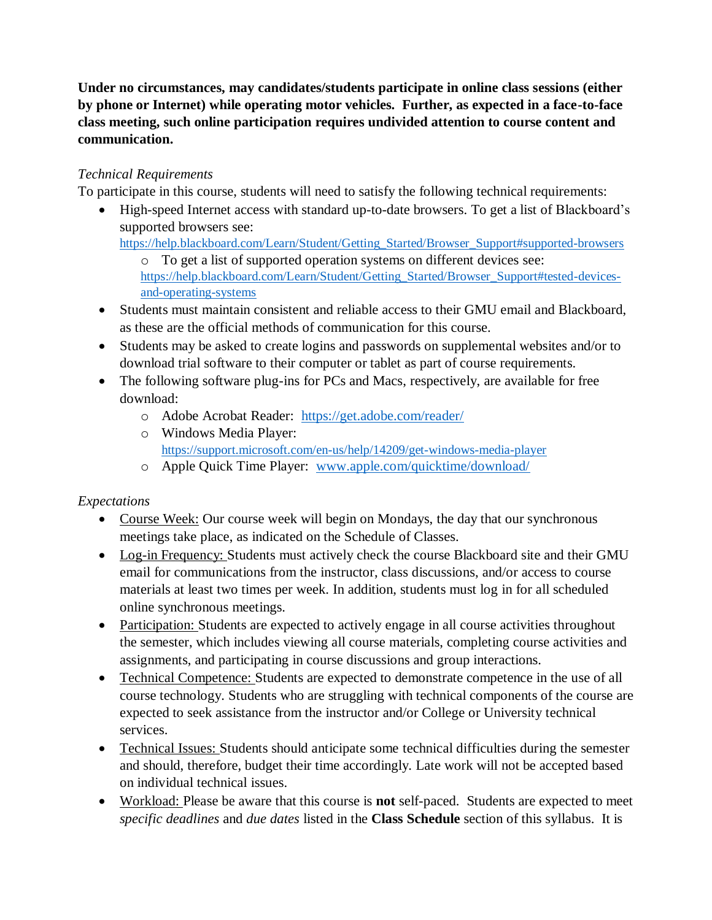**Under no circumstances, may candidates/students participate in online class sessions (either by phone or Internet) while operating motor vehicles. Further, as expected in a face-to-face class meeting, such online participation requires undivided attention to course content and communication.**

### *Technical Requirements*

To participate in this course, students will need to satisfy the following technical requirements:

• High-speed Internet access with standard up-to-date browsers. To get a list of Blackboard's supported browsers see:

[https://help.blackboard.com/Learn/Student/Getting\\_Started/Browser\\_Support#supported-browsers](https://help.blackboard.com/Learn/Student/Getting_Started/Browser_Support#supported-browsers)

- o To get a list of supported operation systems on different devices see: [https://help.blackboard.com/Learn/Student/Getting\\_Started/Browser\\_Support#tested-devices](https://help.blackboard.com/Learn/Student/Getting_Started/Browser_Support#tested-devices-and-operating-systems)[and-operating-systems](https://help.blackboard.com/Learn/Student/Getting_Started/Browser_Support#tested-devices-and-operating-systems)
- Students must maintain consistent and reliable access to their GMU email and Blackboard, as these are the official methods of communication for this course.
- Students may be asked to create logins and passwords on supplemental websites and/or to download trial software to their computer or tablet as part of course requirements.
- The following software plug-ins for PCs and Macs, respectively, are available for free download:
	- o Adobe Acrobat Reader: <https://get.adobe.com/reader/>
	- o Windows Media Player: <https://support.microsoft.com/en-us/help/14209/get-windows-media-player>
	- o Apple Quick Time Player: [www.apple.com/quicktime/download/](http://www.apple.com/quicktime/download/)

### *Expectations*

- Course Week: Our course week will begin on Mondays, the day that our synchronous meetings take place, as indicated on the Schedule of Classes.
- Log-in Frequency: Students must actively check the course Blackboard site and their GMU email for communications from the instructor, class discussions, and/or access to course materials at least two times per week. In addition, students must log in for all scheduled online synchronous meetings.
- Participation: Students are expected to actively engage in all course activities throughout the semester, which includes viewing all course materials, completing course activities and assignments, and participating in course discussions and group interactions.
- Technical Competence: Students are expected to demonstrate competence in the use of all course technology. Students who are struggling with technical components of the course are expected to seek assistance from the instructor and/or College or University technical services.
- Technical Issues: Students should anticipate some technical difficulties during the semester and should, therefore, budget their time accordingly. Late work will not be accepted based on individual technical issues.
- Workload: Please be aware that this course is **not** self-paced. Students are expected to meet *specific deadlines* and *due dates* listed in the **Class Schedule** section of this syllabus. It is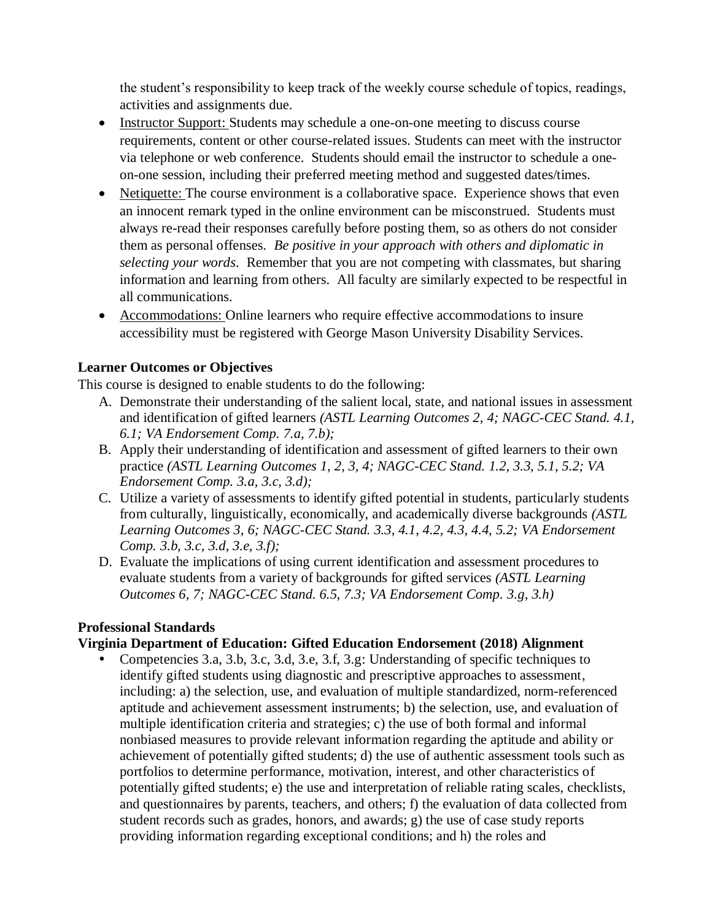the student's responsibility to keep track of the weekly course schedule of topics, readings, activities and assignments due.

- Instructor Support: Students may schedule a one-on-one meeting to discuss course requirements, content or other course-related issues. Students can meet with the instructor via telephone or web conference. Students should email the instructor to schedule a oneon-one session, including their preferred meeting method and suggested dates/times.
- Netiquette: The course environment is a collaborative space. Experience shows that even an innocent remark typed in the online environment can be misconstrued. Students must always re-read their responses carefully before posting them, so as others do not consider them as personal offenses. *Be positive in your approach with others and diplomatic in selecting your words*. Remember that you are not competing with classmates, but sharing information and learning from others. All faculty are similarly expected to be respectful in all communications.
- Accommodations: Online learners who require effective accommodations to insure accessibility must be registered with George Mason University Disability Services.

### **Learner Outcomes or Objectives**

This course is designed to enable students to do the following:

- A. Demonstrate their understanding of the salient local, state, and national issues in assessment and identification of gifted learners *(ASTL Learning Outcomes 2, 4; NAGC-CEC Stand. 4.1, 6.1; VA Endorsement Comp. 7.a, 7.b);*
- B. Apply their understanding of identification and assessment of gifted learners to their own practice *(ASTL Learning Outcomes 1, 2, 3, 4; NAGC-CEC Stand. 1.2, 3.3, 5.1, 5.2; VA Endorsement Comp. 3.a, 3.c, 3.d);*
- C. Utilize a variety of assessments to identify gifted potential in students, particularly students from culturally, linguistically, economically, and academically diverse backgrounds *(ASTL Learning Outcomes 3, 6; NAGC-CEC Stand. 3.3, 4.1, 4.2, 4.3, 4.4, 5.2; VA Endorsement Comp. 3.b, 3.c, 3.d, 3.e, 3.f);*
- D. Evaluate the implications of using current identification and assessment procedures to evaluate students from a variety of backgrounds for gifted services *(ASTL Learning Outcomes 6, 7; NAGC-CEC Stand. 6.5, 7.3; VA Endorsement Comp. 3.g, 3.h)*

### **Professional Standards**

### **Virginia Department of Education: Gifted Education Endorsement (2018) Alignment**

 Competencies 3.a, 3.b, 3.c, 3.d, 3.e, 3.f, 3.g: Understanding of specific techniques to identify gifted students using diagnostic and prescriptive approaches to assessment, including: a) the selection, use, and evaluation of multiple standardized, norm-referenced aptitude and achievement assessment instruments; b) the selection, use, and evaluation of multiple identification criteria and strategies; c) the use of both formal and informal nonbiased measures to provide relevant information regarding the aptitude and ability or achievement of potentially gifted students; d) the use of authentic assessment tools such as portfolios to determine performance, motivation, interest, and other characteristics of potentially gifted students; e) the use and interpretation of reliable rating scales, checklists, and questionnaires by parents, teachers, and others; f) the evaluation of data collected from student records such as grades, honors, and awards; g) the use of case study reports providing information regarding exceptional conditions; and h) the roles and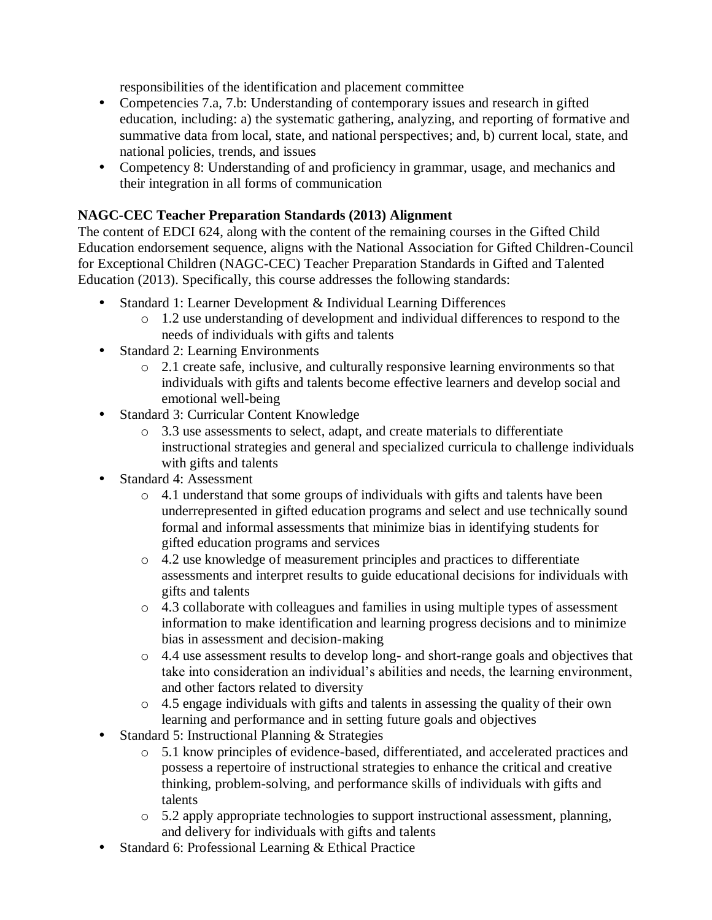responsibilities of the identification and placement committee

- Competencies 7.a, 7.b: Understanding of contemporary issues and research in gifted education, including: a) the systematic gathering, analyzing, and reporting of formative and summative data from local, state, and national perspectives; and, b) current local, state, and national policies, trends, and issues
- Competency 8: Understanding of and proficiency in grammar, usage, and mechanics and their integration in all forms of communication

### **NAGC-CEC Teacher Preparation Standards (2013) Alignment**

The content of EDCI 624, along with the content of the remaining courses in the Gifted Child Education endorsement sequence, aligns with the National Association for Gifted Children-Council for Exceptional Children (NAGC-CEC) Teacher Preparation Standards in Gifted and Talented Education (2013). Specifically, this course addresses the following standards:

- Standard 1: Learner Development & Individual Learning Differences
	- o 1.2 use understanding of development and individual differences to respond to the needs of individuals with gifts and talents
- Standard 2: Learning Environments
	- o 2.1 create safe, inclusive, and culturally responsive learning environments so that individuals with gifts and talents become effective learners and develop social and emotional well-being
- Standard 3: Curricular Content Knowledge
	- o 3.3 use assessments to select, adapt, and create materials to differentiate instructional strategies and general and specialized curricula to challenge individuals with gifts and talents
- Standard 4: Assessment
	- o 4.1 understand that some groups of individuals with gifts and talents have been underrepresented in gifted education programs and select and use technically sound formal and informal assessments that minimize bias in identifying students for gifted education programs and services
	- $\circ$  4.2 use knowledge of measurement principles and practices to differentiate assessments and interpret results to guide educational decisions for individuals with gifts and talents
	- o 4.3 collaborate with colleagues and families in using multiple types of assessment information to make identification and learning progress decisions and to minimize bias in assessment and decision-making
	- o 4.4 use assessment results to develop long- and short-range goals and objectives that take into consideration an individual's abilities and needs, the learning environment, and other factors related to diversity
	- o 4.5 engage individuals with gifts and talents in assessing the quality of their own learning and performance and in setting future goals and objectives
- Standard 5: Instructional Planning & Strategies
	- o 5.1 know principles of evidence-based, differentiated, and accelerated practices and possess a repertoire of instructional strategies to enhance the critical and creative thinking, problem-solving, and performance skills of individuals with gifts and talents
	- o 5.2 apply appropriate technologies to support instructional assessment, planning, and delivery for individuals with gifts and talents
- Standard 6: Professional Learning & Ethical Practice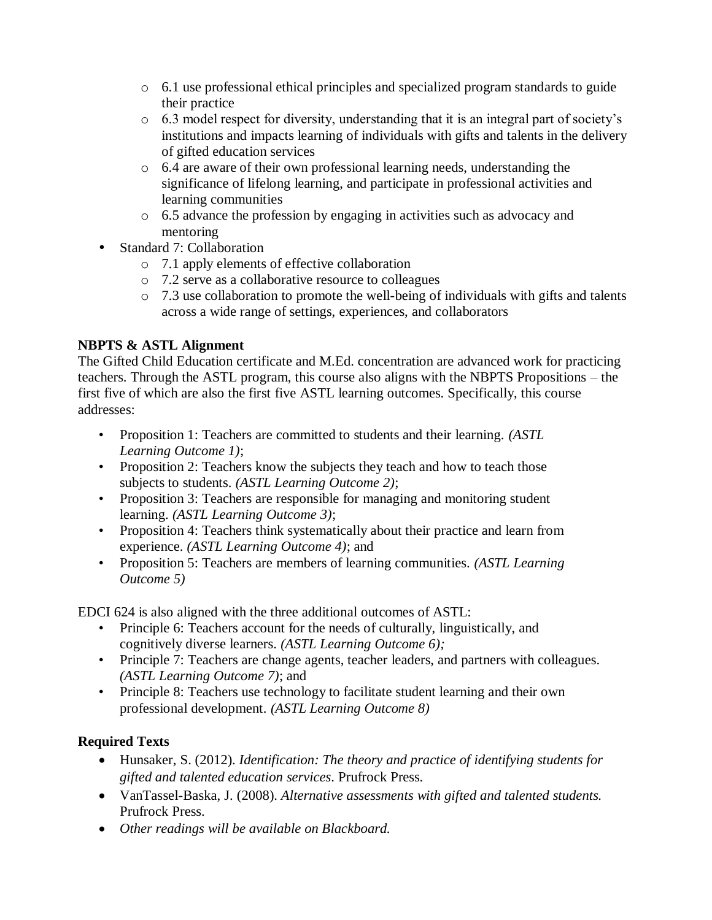- o 6.1 use professional ethical principles and specialized program standards to guide their practice
- o 6.3 model respect for diversity, understanding that it is an integral part of society's institutions and impacts learning of individuals with gifts and talents in the delivery of gifted education services
- o 6.4 are aware of their own professional learning needs, understanding the significance of lifelong learning, and participate in professional activities and learning communities
- o 6.5 advance the profession by engaging in activities such as advocacy and mentoring
- Standard 7: Collaboration
	- o 7.1 apply elements of effective collaboration
	- o 7.2 serve as a collaborative resource to colleagues
	- o 7.3 use collaboration to promote the well-being of individuals with gifts and talents across a wide range of settings, experiences, and collaborators

## **NBPTS & ASTL Alignment**

The Gifted Child Education certificate and M.Ed. concentration are advanced work for practicing teachers. Through the ASTL program, this course also aligns with the NBPTS Propositions – the first five of which are also the first five ASTL learning outcomes. Specifically, this course addresses:

- Proposition 1: Teachers are committed to students and their learning. *(ASTL Learning Outcome 1)*;
- Proposition 2: Teachers know the subjects they teach and how to teach those subjects to students. *(ASTL Learning Outcome 2)*;
- Proposition 3: Teachers are responsible for managing and monitoring student learning. *(ASTL Learning Outcome 3)*;
- Proposition 4: Teachers think systematically about their practice and learn from experience. *(ASTL Learning Outcome 4)*; and
- Proposition 5: Teachers are members of learning communities. *(ASTL Learning Outcome 5)*

EDCI 624 is also aligned with the three additional outcomes of ASTL:

- Principle 6: Teachers account for the needs of culturally, linguistically, and cognitively diverse learners. *(ASTL Learning Outcome 6);*
- Principle 7: Teachers are change agents, teacher leaders, and partners with colleagues. *(ASTL Learning Outcome 7)*; and
- Principle 8: Teachers use technology to facilitate student learning and their own professional development. *(ASTL Learning Outcome 8)*

## **Required Texts**

- Hunsaker, S. (2012). *Identification: The theory and practice of identifying students for gifted and talented education services*. Prufrock Press.
- VanTassel-Baska, J. (2008). *Alternative assessments with gifted and talented students.* Prufrock Press.
- *Other readings will be available on Blackboard.*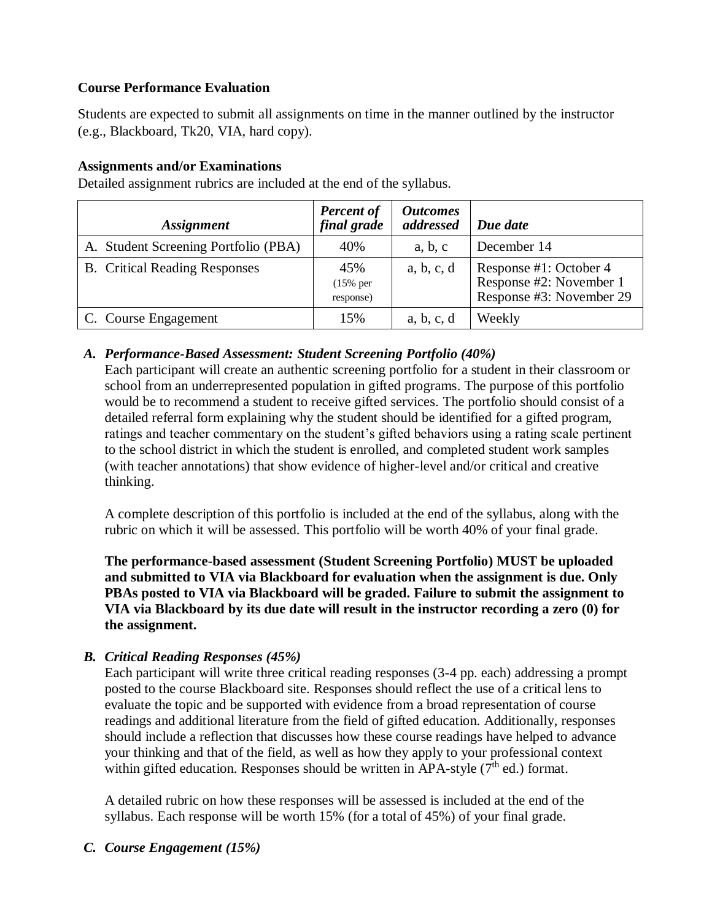### **Course Performance Evaluation**

Students are expected to submit all assignments on time in the manner outlined by the instructor (e.g., Blackboard, Tk20, VIA, hard copy).

### **Assignments and/or Examinations**

| <i><b>Assignment</b></i>             | <b>Percent of</b><br>final grade | <i><b>Outcomes</b></i><br>addressed | Due date                                                                      |
|--------------------------------------|----------------------------------|-------------------------------------|-------------------------------------------------------------------------------|
| A. Student Screening Portfolio (PBA) | 40%                              | a, b, c                             | December 14                                                                   |
| <b>B.</b> Critical Reading Responses | 45%<br>$(15\%$ per<br>response)  | a, b, c, d                          | Response #1: October 4<br>Response #2: November 1<br>Response #3: November 29 |
| C. Course Engagement                 | 15%                              | a, b, c, d                          | Weekly                                                                        |

Detailed assignment rubrics are included at the end of the syllabus.

### *A. Performance-Based Assessment: Student Screening Portfolio (40%)*

Each participant will create an authentic screening portfolio for a student in their classroom or school from an underrepresented population in gifted programs. The purpose of this portfolio would be to recommend a student to receive gifted services. The portfolio should consist of a detailed referral form explaining why the student should be identified for a gifted program, ratings and teacher commentary on the student's gifted behaviors using a rating scale pertinent to the school district in which the student is enrolled, and completed student work samples (with teacher annotations) that show evidence of higher-level and/or critical and creative thinking.

A complete description of this portfolio is included at the end of the syllabus, along with the rubric on which it will be assessed. This portfolio will be worth 40% of your final grade.

**The performance-based assessment (Student Screening Portfolio) MUST be uploaded and submitted to VIA via Blackboard for evaluation when the assignment is due. Only PBAs posted to VIA via Blackboard will be graded. Failure to submit the assignment to VIA via Blackboard by its due date will result in the instructor recording a zero (0) for the assignment.**

## *B. Critical Reading Responses (45%)*

Each participant will write three critical reading responses (3-4 pp. each) addressing a prompt posted to the course Blackboard site. Responses should reflect the use of a critical lens to evaluate the topic and be supported with evidence from a broad representation of course readings and additional literature from the field of gifted education. Additionally, responses should include a reflection that discusses how these course readings have helped to advance your thinking and that of the field, as well as how they apply to your professional context within gifted education. Responses should be written in APA-style  $(7<sup>th</sup>$  ed.) format.

A detailed rubric on how these responses will be assessed is included at the end of the syllabus. Each response will be worth 15% (for a total of 45%) of your final grade.

### *C. Course Engagement (15%)*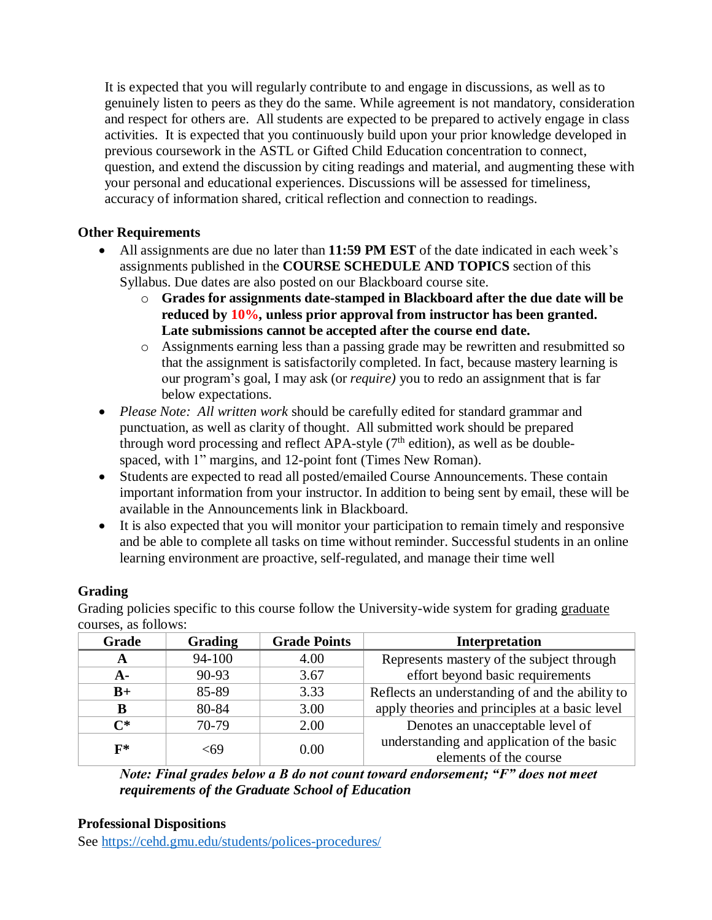It is expected that you will regularly contribute to and engage in discussions, as well as to genuinely listen to peers as they do the same. While agreement is not mandatory, consideration and respect for others are. All students are expected to be prepared to actively engage in class activities. It is expected that you continuously build upon your prior knowledge developed in previous coursework in the ASTL or Gifted Child Education concentration to connect, question, and extend the discussion by citing readings and material, and augmenting these with your personal and educational experiences. Discussions will be assessed for timeliness, accuracy of information shared, critical reflection and connection to readings.

### **Other Requirements**

- All assignments are due no later than **11:59 PM EST** of the date indicated in each week's assignments published in the **COURSE SCHEDULE AND TOPICS** section of this Syllabus. Due dates are also posted on our Blackboard course site.
	- o **Grades for assignments date-stamped in Blackboard after the due date will be reduced by 10%, unless prior approval from instructor has been granted. Late submissions cannot be accepted after the course end date.**
	- o Assignments earning less than a passing grade may be rewritten and resubmitted so that the assignment is satisfactorily completed. In fact, because mastery learning is our program's goal, I may ask (or *require)* you to redo an assignment that is far below expectations.
- *Please Note: All written work* should be carefully edited for standard grammar and punctuation, as well as clarity of thought. All submitted work should be prepared through word processing and reflect APA-style  $(7<sup>th</sup>$  edition), as well as be doublespaced, with 1" margins, and 12-point font (Times New Roman).
- Students are expected to read all posted/emailed Course Announcements. These contain important information from your instructor. In addition to being sent by email, these will be available in the Announcements link in Blackboard.
- It is also expected that you will monitor your participation to remain timely and responsive and be able to complete all tasks on time without reminder. Successful students in an online learning environment are proactive, self-regulated, and manage their time well

## **Grading**

Grading policies specific to this course follow the University-wide system for grading graduate courses, as follows:

| Grade          | <b>Grading</b> | <b>Grade Points</b> | Interpretation                                  |
|----------------|----------------|---------------------|-------------------------------------------------|
| A              | 94-100         | 4.00                | Represents mastery of the subject through       |
| $A -$          | 90-93          | 3.67                | effort beyond basic requirements                |
| $B+$           | 85-89          | 3.33                | Reflects an understanding of and the ability to |
| B              | 80-84          | 3.00                | apply theories and principles at a basic level  |
| $\bf C^*$      | 70-79          | 2.00                | Denotes an unacceptable level of                |
| $\mathbf{F}^*$ | -69            |                     | understanding and application of the basic      |
|                |                | 0.00                | elements of the course                          |

*Note: Final grades below a B do not count toward endorsement; "F" does not meet requirements of the Graduate School of Education*

### **Professional Dispositions**

See<https://cehd.gmu.edu/students/polices-procedures/>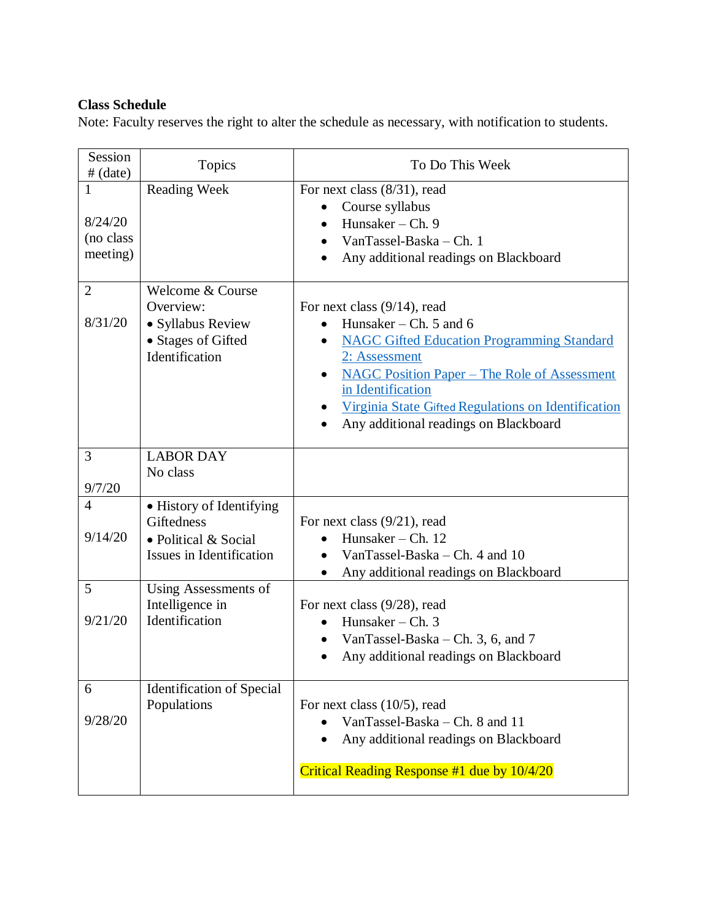## **Class Schedule**

Note: Faculty reserves the right to alter the schedule as necessary, with notification to students.

| Session<br>$#$ (date)                 | Topics                                                                                     | To Do This Week                                                                                                                                                                                                                                                                                                                          |
|---------------------------------------|--------------------------------------------------------------------------------------------|------------------------------------------------------------------------------------------------------------------------------------------------------------------------------------------------------------------------------------------------------------------------------------------------------------------------------------------|
| 1<br>8/24/20<br>(no class<br>meeting) | <b>Reading Week</b>                                                                        | For next class (8/31), read<br>Course syllabus<br>$\bullet$<br>Hunsaker $-$ Ch. 9<br>$\bullet$<br>VanTassel-Baska - Ch. 1<br>Any additional readings on Blackboard                                                                                                                                                                       |
| $\overline{2}$<br>8/31/20             | Welcome & Course<br>Overview:<br>• Syllabus Review<br>• Stages of Gifted<br>Identification | For next class $(9/14)$ , read<br>Hunsaker – Ch. $5$ and $6$<br><b>NAGC Gifted Education Programming Standard</b><br>$\bullet$<br>2: Assessment<br><b>NAGC Position Paper – The Role of Assessment</b><br>$\bullet$<br>in Identification<br>Virginia State Gifted Regulations on Identification<br>Any additional readings on Blackboard |
| 3<br>9/7/20                           | <b>LABOR DAY</b><br>No class                                                               |                                                                                                                                                                                                                                                                                                                                          |
| $\overline{4}$<br>9/14/20             | • History of Identifying<br>Giftedness<br>• Political & Social<br>Issues in Identification | For next class $(9/21)$ , read<br>Hunsaker - Ch. 12<br>VanTassel-Baska – Ch. 4 and $10$<br>Any additional readings on Blackboard                                                                                                                                                                                                         |
| 5<br>9/21/20                          | Using Assessments of<br>Intelligence in<br>Identification                                  | For next class $(9/28)$ , read<br>Hunsaker – Ch. $3$<br>VanTassel-Baska – Ch. 3, 6, and 7<br>Any additional readings on Blackboard<br>$\bullet$                                                                                                                                                                                          |
| 6<br>9/28/20                          | <b>Identification of Special</b><br>Populations                                            | For next class $(10/5)$ , read<br>VanTassel-Baska - Ch. 8 and 11<br>Any additional readings on Blackboard<br>Critical Reading Response #1 due by 10/4/20                                                                                                                                                                                 |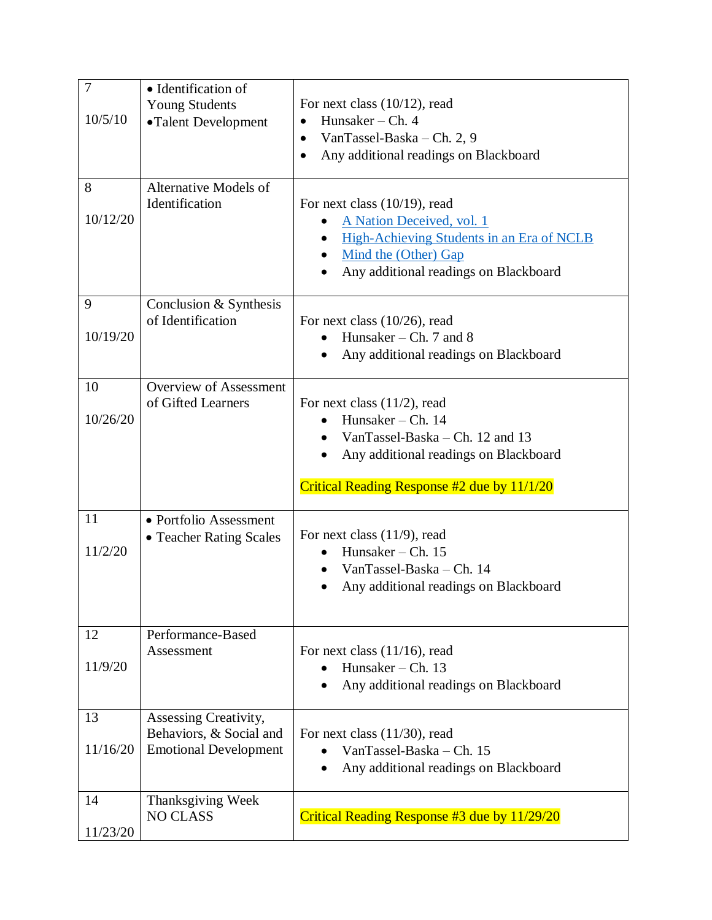| $\overline{7}$<br>10/5/10 | • Identification of<br><b>Young Students</b><br>•Talent Development              | For next class $(10/12)$ , read<br>Hunsaker $-$ Ch. 4<br>$\bullet$<br>VanTassel-Baska – Ch. 2, 9<br>$\bullet$<br>Any additional readings on Blackboard<br>$\bullet$              |
|---------------------------|----------------------------------------------------------------------------------|----------------------------------------------------------------------------------------------------------------------------------------------------------------------------------|
| 8<br>10/12/20             | Alternative Models of<br>Identification                                          | For next class $(10/19)$ , read<br>A Nation Deceived, vol. 1<br>High-Achieving Students in an Era of NCLB<br>Mind the (Other) Gap<br>Any additional readings on Blackboard       |
| 9<br>10/19/20             | Conclusion & Synthesis<br>of Identification                                      | For next class $(10/26)$ , read<br>Hunsaker – Ch. 7 and 8<br>Any additional readings on Blackboard                                                                               |
| 10<br>10/26/20            | <b>Overview of Assessment</b><br>of Gifted Learners                              | For next class $(11/2)$ , read<br>Hunsaker – Ch. $14$<br>VanTassel-Baska – Ch. 12 and 13<br>Any additional readings on Blackboard<br>Critical Reading Response #2 due by 11/1/20 |
| 11<br>11/2/20             | • Portfolio Assessment<br>• Teacher Rating Scales                                | For next class $(11/9)$ , read<br>Hunsaker – Ch. $15$<br>VanTassel-Baska - Ch. 14<br>Any additional readings on Blackboard                                                       |
| 12<br>11/9/20             | Performance-Based<br>Assessment                                                  | For next class $(11/16)$ , read<br>Hunsaker – Ch. $13$<br>Any additional readings on Blackboard                                                                                  |
|                           |                                                                                  |                                                                                                                                                                                  |
| 13<br>11/16/20            | Assessing Creativity,<br>Behaviors, & Social and<br><b>Emotional Development</b> | For next class $(11/30)$ , read<br>VanTassel-Baska - Ch. 15<br>Any additional readings on Blackboard                                                                             |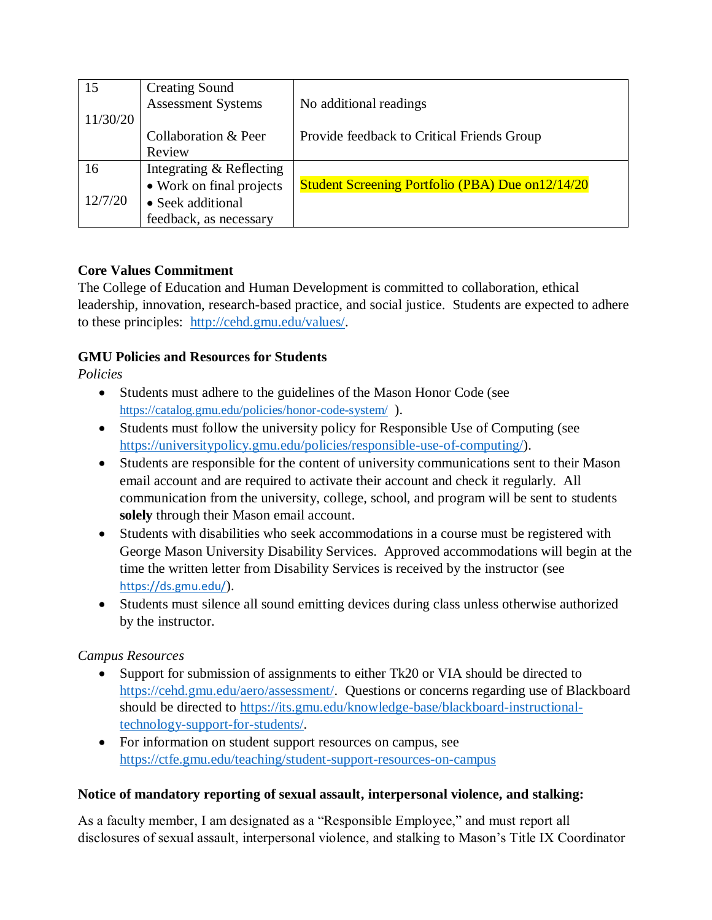| 15       | <b>Creating Sound</b>     |                                                   |
|----------|---------------------------|---------------------------------------------------|
|          | <b>Assessment Systems</b> | No additional readings                            |
| 11/30/20 |                           |                                                   |
|          | Collaboration & Peer      | Provide feedback to Critical Friends Group        |
|          | Review                    |                                                   |
| 16       | Integrating & Reflecting  |                                                   |
|          | • Work on final projects  | Student Screening Portfolio (PBA) Due on 12/14/20 |
| 12/7/20  | • Seek additional         |                                                   |
|          | feedback, as necessary    |                                                   |

### **Core Values Commitment**

The College of Education and Human Development is committed to collaboration, ethical leadership, innovation, research-based practice, and social justice. Students are expected to adhere to these principles: [http://cehd.gmu.edu/values/.](http://cehd.gmu.edu/values/)

## **GMU Policies and Resources for Students**

*Policies*

- Students must adhere to the guidelines of the Mason Honor Code (see <https://catalog.gmu.edu/policies/honor-code-system/>).
- Students must follow the university policy for Responsible Use of Computing (see [https://universitypolicy.gmu.edu/policies/responsible-use-of-computing/\)](https://universitypolicy.gmu.edu/policies/responsible-use-of-computing/).
- Students are responsible for the content of university communications sent to their Mason email account and are required to activate their account and check it regularly. All communication from the university, college, school, and program will be sent to students **solely** through their Mason email account.
- Students with disabilities who seek accommodations in a course must be registered with George Mason University Disability Services. Approved accommodations will begin at the time the written letter from Disability Services is received by the instructor (see <https://ds.gmu.edu/>).
- Students must silence all sound emitting devices during class unless otherwise authorized by the instructor.

### *Campus Resources*

- Support for submission of assignments to either Tk20 or VIA should be directed to [https://cehd.gmu.edu/aero/assessment/.](https://cehd.gmu.edu/aero/assessment/) Questions or concerns regarding use of Blackboard should be directed to [https://its.gmu.edu/knowledge-base/blackboard-instructional](https://its.gmu.edu/knowledge-base/blackboard-instructional-technology-support-for-students/)[technology-support-for-students/.](https://its.gmu.edu/knowledge-base/blackboard-instructional-technology-support-for-students/)
- For information on student support resources on campus, see <https://ctfe.gmu.edu/teaching/student-support-resources-on-campus>

### **Notice of mandatory reporting of sexual assault, interpersonal violence, and stalking:**

As a faculty member, I am designated as a "Responsible Employee," and must report all disclosures of sexual assault, interpersonal violence, and stalking to Mason's Title IX Coordinator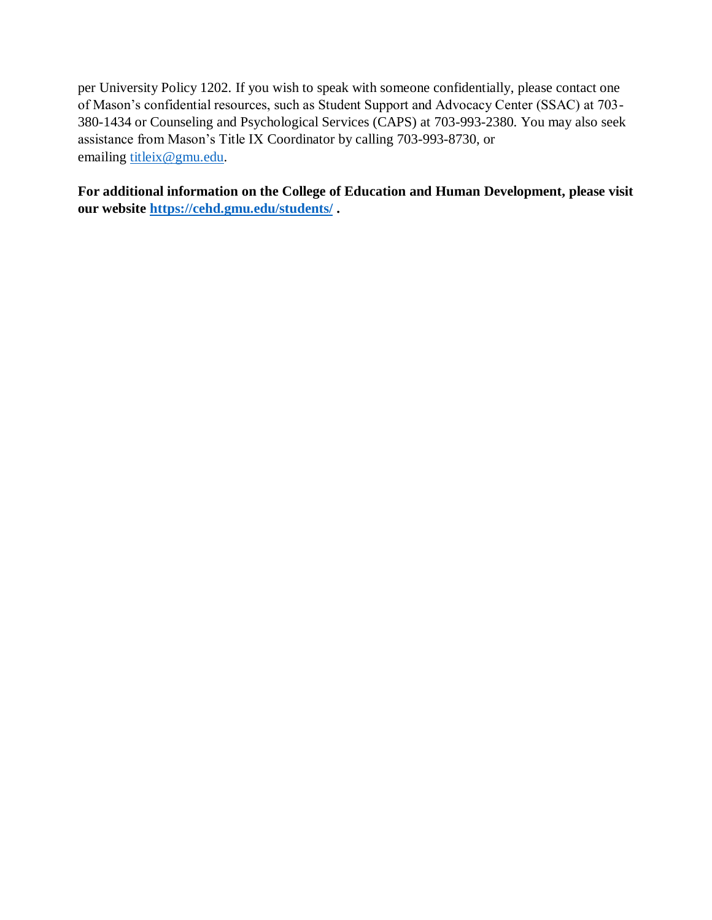per University Policy 1202. If you wish to speak with someone confidentially, please contact one of Mason's confidential resources, such as Student Support and Advocacy Center (SSAC) at 703- 380-1434 or Counseling and Psychological Services (CAPS) at 703-993-2380. You may also seek assistance from Mason's Title IX Coordinator by calling 703-993-8730, or emailing [titleix@gmu.edu.](mailto:titleix@gmu.edu)

**For additional information on the College of Education and Human Development, please visit our website<https://cehd.gmu.edu/students/> .**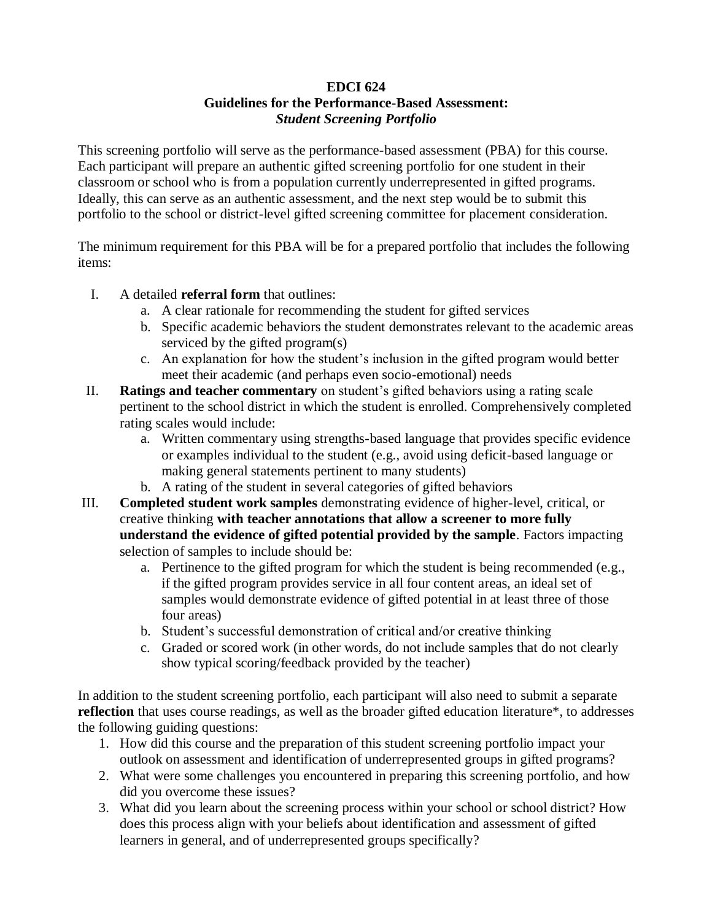#### **EDCI 624 Guidelines for the Performance-Based Assessment:** *Student Screening Portfolio*

This screening portfolio will serve as the performance-based assessment (PBA) for this course. Each participant will prepare an authentic gifted screening portfolio for one student in their classroom or school who is from a population currently underrepresented in gifted programs. Ideally, this can serve as an authentic assessment, and the next step would be to submit this portfolio to the school or district-level gifted screening committee for placement consideration.

The minimum requirement for this PBA will be for a prepared portfolio that includes the following items:

- I. A detailed **referral form** that outlines:
	- a. A clear rationale for recommending the student for gifted services
	- b. Specific academic behaviors the student demonstrates relevant to the academic areas serviced by the gifted program(s)
	- c. An explanation for how the student's inclusion in the gifted program would better meet their academic (and perhaps even socio-emotional) needs
- II. **Ratings and teacher commentary** on student's gifted behaviors using a rating scale pertinent to the school district in which the student is enrolled. Comprehensively completed rating scales would include:
	- a. Written commentary using strengths-based language that provides specific evidence or examples individual to the student (e.g., avoid using deficit-based language or making general statements pertinent to many students)
	- b. A rating of the student in several categories of gifted behaviors
- III. **Completed student work samples** demonstrating evidence of higher-level, critical, or creative thinking **with teacher annotations that allow a screener to more fully understand the evidence of gifted potential provided by the sample**. Factors impacting selection of samples to include should be:
	- a. Pertinence to the gifted program for which the student is being recommended (e.g., if the gifted program provides service in all four content areas, an ideal set of samples would demonstrate evidence of gifted potential in at least three of those four areas)
	- b. Student's successful demonstration of critical and/or creative thinking
	- c. Graded or scored work (in other words, do not include samples that do not clearly show typical scoring/feedback provided by the teacher)

In addition to the student screening portfolio, each participant will also need to submit a separate **reflection** that uses course readings, as well as the broader gifted education literature\*, to addresses the following guiding questions:

- 1. How did this course and the preparation of this student screening portfolio impact your outlook on assessment and identification of underrepresented groups in gifted programs?
- 2. What were some challenges you encountered in preparing this screening portfolio, and how did you overcome these issues?
- 3. What did you learn about the screening process within your school or school district? How does this process align with your beliefs about identification and assessment of gifted learners in general, and of underrepresented groups specifically?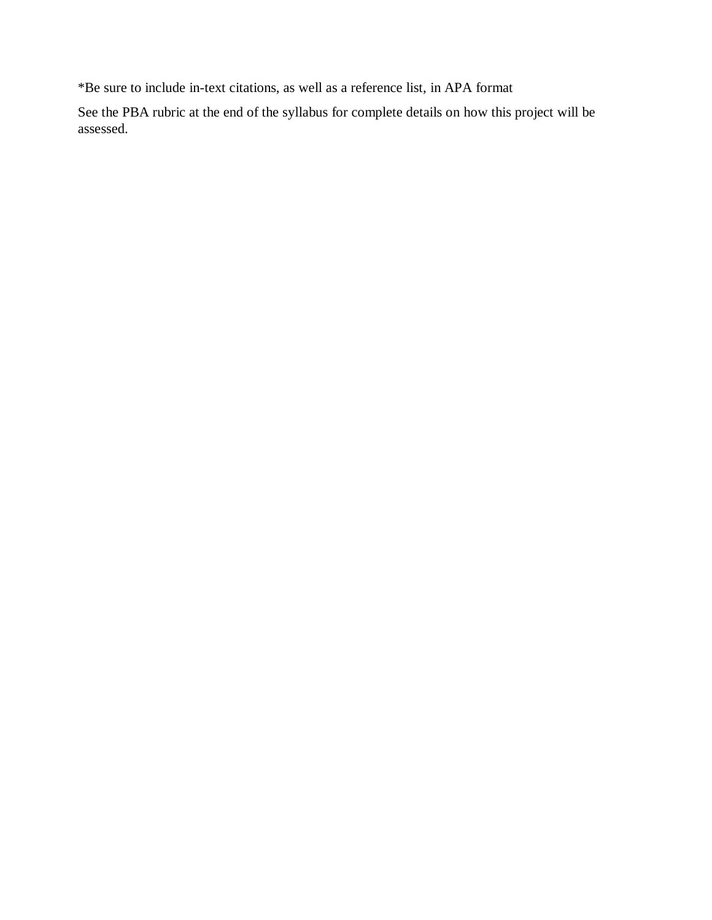\*Be sure to include in-text citations, as well as a reference list, in APA format

See the PBA rubric at the end of the syllabus for complete details on how this project will be assessed.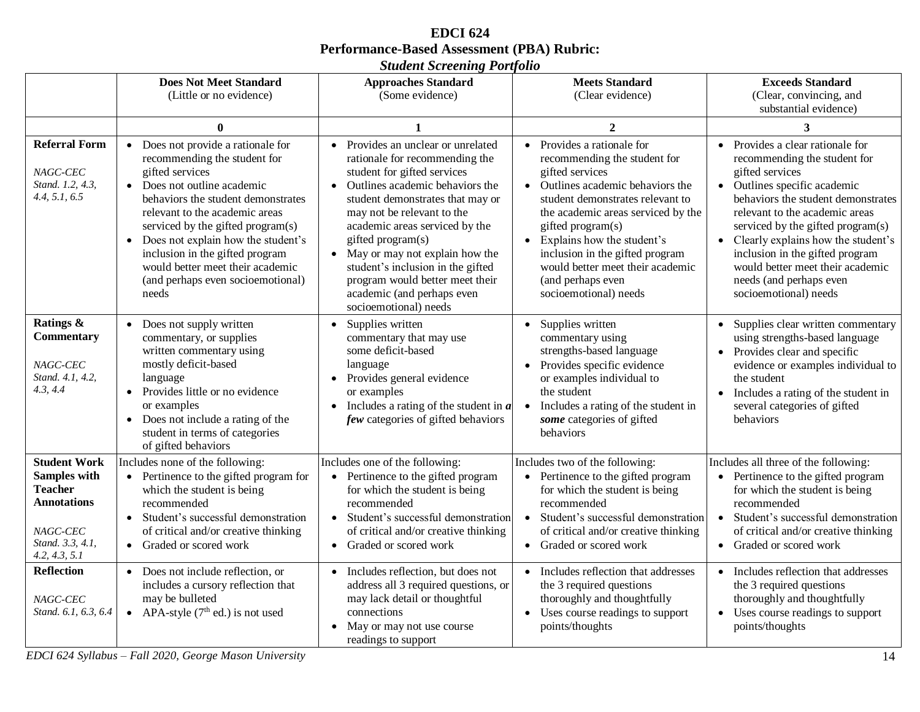| <b>EDCI</b> 624                                   |
|---------------------------------------------------|
| <b>Performance-Based Assessment (PBA) Rubric:</b> |
| <b>Student Screening Portfolio</b>                |

|                                                                                                                              | <b>Does Not Meet Standard</b><br>(Little or no evidence)                                                                                                                                                                                                                                                                                                                                                  | <b>Approaches Standard</b><br>(Some evidence)                                                                                                                                                                                                                                                                                                                                                                                                   | <b>Meets Standard</b><br>(Clear evidence)                                                                                                                                                                                                                                                                                                                                         | <b>Exceeds Standard</b><br>(Clear, convincing, and<br>substantial evidence)                                                                                                                                                                                                                                                                                                                         |
|------------------------------------------------------------------------------------------------------------------------------|-----------------------------------------------------------------------------------------------------------------------------------------------------------------------------------------------------------------------------------------------------------------------------------------------------------------------------------------------------------------------------------------------------------|-------------------------------------------------------------------------------------------------------------------------------------------------------------------------------------------------------------------------------------------------------------------------------------------------------------------------------------------------------------------------------------------------------------------------------------------------|-----------------------------------------------------------------------------------------------------------------------------------------------------------------------------------------------------------------------------------------------------------------------------------------------------------------------------------------------------------------------------------|-----------------------------------------------------------------------------------------------------------------------------------------------------------------------------------------------------------------------------------------------------------------------------------------------------------------------------------------------------------------------------------------------------|
|                                                                                                                              | $\mathbf{0}$                                                                                                                                                                                                                                                                                                                                                                                              |                                                                                                                                                                                                                                                                                                                                                                                                                                                 | $\mathbf{2}$                                                                                                                                                                                                                                                                                                                                                                      | 3                                                                                                                                                                                                                                                                                                                                                                                                   |
| <b>Referral Form</b><br>NAGC-CEC<br>Stand. 1.2, 4.3.<br>4.4, 5.1, 6.5                                                        | • Does not provide a rationale for<br>recommending the student for<br>gifted services<br>• Does not outline academic<br>behaviors the student demonstrates<br>relevant to the academic areas<br>serviced by the gifted program(s)<br>Does not explain how the student's<br>$\bullet$<br>inclusion in the gifted program<br>would better meet their academic<br>(and perhaps even socioemotional)<br>needs | • Provides an unclear or unrelated<br>rationale for recommending the<br>student for gifted services<br>Outlines academic behaviors the<br>$\bullet$<br>student demonstrates that may or<br>may not be relevant to the<br>academic areas serviced by the<br>gifted program(s)<br>• May or may not explain how the<br>student's inclusion in the gifted<br>program would better meet their<br>academic (and perhaps even<br>socioemotional) needs | • Provides a rationale for<br>recommending the student for<br>gifted services<br>• Outlines academic behaviors the<br>student demonstrates relevant to<br>the academic areas serviced by the<br>gifted program(s)<br>Explains how the student's<br>$\bullet$<br>inclusion in the gifted program<br>would better meet their academic<br>(and perhaps even<br>socioemotional) needs | • Provides a clear rationale for<br>recommending the student for<br>gifted services<br>• Outlines specific academic<br>behaviors the student demonstrates<br>relevant to the academic areas<br>serviced by the gifted program(s)<br>• Clearly explains how the student's<br>inclusion in the gifted program<br>would better meet their academic<br>needs (and perhaps even<br>socioemotional) needs |
| Ratings &<br><b>Commentary</b><br>NAGC-CEC<br>Stand. 4.1, 4.2,<br>4.3, 4.4                                                   | • Does not supply written<br>commentary, or supplies<br>written commentary using<br>mostly deficit-based<br>language<br>• Provides little or no evidence<br>or examples<br>Does not include a rating of the<br>$\bullet$<br>student in terms of categories<br>of gifted behaviors                                                                                                                         | Supplies written<br>$\bullet$<br>commentary that may use<br>some deficit-based<br>language<br>• Provides general evidence<br>or examples<br>Includes a rating of the student in $\boldsymbol{a}$<br>$\bullet$<br>few categories of gifted behaviors                                                                                                                                                                                             | Supplies written<br>$\bullet$<br>commentary using<br>strengths-based language<br>Provides specific evidence<br>or examples individual to<br>the student<br>Includes a rating of the student in<br>$\bullet$<br>some categories of gifted<br>behaviors                                                                                                                             | • Supplies clear written commentary<br>using strengths-based language<br>• Provides clear and specific<br>evidence or examples individual to<br>the student<br>• Includes a rating of the student in<br>several categories of gifted<br>behaviors                                                                                                                                                   |
| <b>Student Work</b><br>Samples with<br><b>Teacher</b><br><b>Annotations</b><br>NAGC-CEC<br>Stand. 3.3, 4.1,<br>4.2, 4.3, 5.1 | Includes none of the following:<br>• Pertinence to the gifted program for<br>which the student is being<br>recommended<br>Student's successful demonstration<br>$\bullet$<br>of critical and/or creative thinking<br>• Graded or scored work                                                                                                                                                              | Includes one of the following:<br>Pertinence to the gifted program<br>$\bullet$<br>for which the student is being<br>recommended<br>Student's successful demonstration<br>$\bullet$<br>of critical and/or creative thinking<br>• Graded or scored work                                                                                                                                                                                          | Includes two of the following:<br>• Pertinence to the gifted program<br>for which the student is being<br>recommended<br>Student's successful demonstration<br>$\bullet$<br>of critical and/or creative thinking<br>• Graded or scored work                                                                                                                                       | Includes all three of the following:<br>• Pertinence to the gifted program<br>for which the student is being<br>recommended<br>· Student's successful demonstration<br>of critical and/or creative thinking<br>• Graded or scored work                                                                                                                                                              |
| <b>Reflection</b><br>NAGC-CEC<br>Stand. 6.1, 6.3, 6.4                                                                        | • Does not include reflection, or<br>includes a cursory reflection that<br>may be bulleted<br>• APA-style $(7th$ ed.) is not used                                                                                                                                                                                                                                                                         | • Includes reflection, but does not<br>address all 3 required questions, or<br>may lack detail or thoughtful<br>connections<br>May or may not use course<br>$\bullet$<br>readings to support                                                                                                                                                                                                                                                    | • Includes reflection that addresses<br>the 3 required questions<br>thoroughly and thoughtfully<br>Uses course readings to support<br>points/thoughts                                                                                                                                                                                                                             | • Includes reflection that addresses<br>the 3 required questions<br>thoroughly and thoughtfully<br>• Uses course readings to support<br>points/thoughts                                                                                                                                                                                                                                             |

*EDCI 624 Syllabus – Fall 2020, George Mason University* 14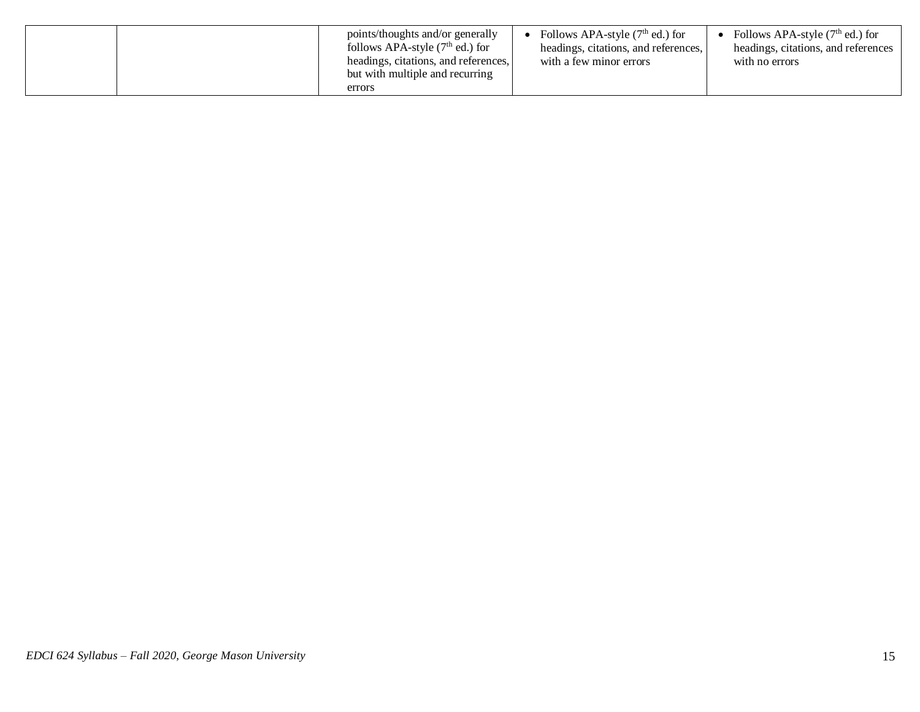| points/thoughts and/or generally<br>follows APA-style $(7th$ ed.) for<br>headings, citations, and references,<br>but with multiple and recurring | Follows APA-style $(7th$ ed.) for<br>headings, citations, and references,<br>with a few minor errors | Follows APA-style $(7th$ ed.) for<br>headings, citations, and references<br>with no errors |
|--------------------------------------------------------------------------------------------------------------------------------------------------|------------------------------------------------------------------------------------------------------|--------------------------------------------------------------------------------------------|
| errors                                                                                                                                           |                                                                                                      |                                                                                            |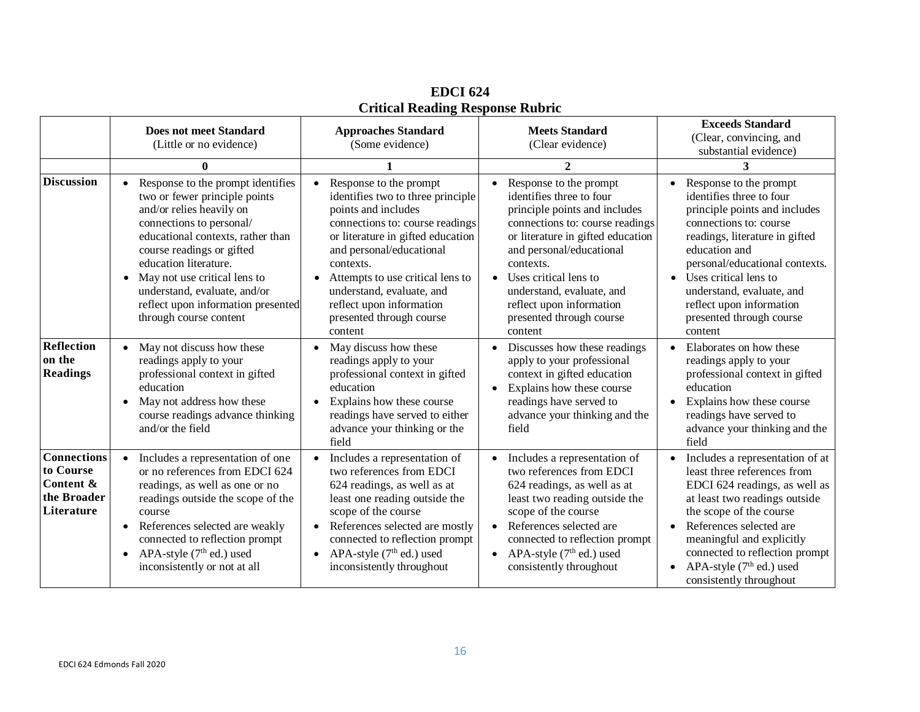|                                                                           | <b>Does not meet Standard</b><br>(Little or no evidence)                                                                                                                                                                                                                                                                                                | <b>Approaches Standard</b><br>(Some evidence)                                                                                                                                                                                                                                                                                           | <b>Meets Standard</b><br>(Clear evidence)                                                                                                                                                                                                                                                                                     | <b>Exceeds Standard</b><br>(Clear, convincing, and<br>substantial evidence)                                                                                                                                                                                                                                                              |
|---------------------------------------------------------------------------|---------------------------------------------------------------------------------------------------------------------------------------------------------------------------------------------------------------------------------------------------------------------------------------------------------------------------------------------------------|-----------------------------------------------------------------------------------------------------------------------------------------------------------------------------------------------------------------------------------------------------------------------------------------------------------------------------------------|-------------------------------------------------------------------------------------------------------------------------------------------------------------------------------------------------------------------------------------------------------------------------------------------------------------------------------|------------------------------------------------------------------------------------------------------------------------------------------------------------------------------------------------------------------------------------------------------------------------------------------------------------------------------------------|
|                                                                           | $\mathbf{0}$                                                                                                                                                                                                                                                                                                                                            |                                                                                                                                                                                                                                                                                                                                         | $\mathbf{2}$                                                                                                                                                                                                                                                                                                                  | 3                                                                                                                                                                                                                                                                                                                                        |
| <b>Discussion</b>                                                         | Response to the prompt identifies<br>two or fewer principle points<br>and/or relies heavily on<br>connections to personal/<br>educational contexts, rather than<br>course readings or gifted<br>education literature.<br>• May not use critical lens to<br>understand, evaluate, and/or<br>reflect upon information presented<br>through course content | Response to the prompt<br>identifies two to three principle<br>points and includes<br>connections to: course readings<br>or literature in gifted education<br>and personal/educational<br>contexts.<br>Attempts to use critical lens to<br>understand, evaluate, and<br>reflect upon information<br>presented through course<br>content | Response to the prompt<br>identifies three to four<br>principle points and includes<br>connections to: course readings<br>or literature in gifted education<br>and personal/educational<br>contexts.<br>Uses critical lens to<br>understand, evaluate, and<br>reflect upon information<br>presented through course<br>content | Response to the prompt<br>$\bullet$<br>identifies three to four<br>principle points and includes<br>connections to: course<br>readings, literature in gifted<br>education and<br>personal/educational contexts.<br>Uses critical lens to<br>understand, evaluate, and<br>reflect upon information<br>presented through course<br>content |
| <b>Reflection</b><br>on the<br><b>Readings</b>                            | May not discuss how these<br>$\bullet$<br>readings apply to your<br>professional context in gifted<br>education<br>May not address how these<br>$\bullet$<br>course readings advance thinking<br>and/or the field                                                                                                                                       | May discuss how these<br>$\bullet$<br>readings apply to your<br>professional context in gifted<br>education<br>Explains how these course<br>readings have served to either<br>advance your thinking or the<br>field                                                                                                                     | Discusses how these readings<br>apply to your professional<br>context in gifted education<br>Explains how these course<br>readings have served to<br>advance your thinking and the<br>field                                                                                                                                   | Elaborates on how these<br>$\bullet$<br>readings apply to your<br>professional context in gifted<br>education<br>Explains how these course<br>$\bullet$<br>readings have served to<br>advance your thinking and the<br>field                                                                                                             |
| <b>Connections</b><br>to Course<br>Content &<br>the Broader<br>Literature | Includes a representation of one<br>$\bullet$<br>or no references from EDCI 624<br>readings, as well as one or no<br>readings outside the scope of the<br>course<br>References selected are weakly<br>$\bullet$<br>connected to reflection prompt<br>APA-style $(7th$ ed.) used<br>$\bullet$<br>inconsistently or not at all                            | Includes a representation of<br>two references from EDCI<br>624 readings, as well as at<br>least one reading outside the<br>scope of the course<br>References selected are mostly<br>connected to reflection prompt<br>APA-style $(7th$ ed.) used<br>$\bullet$<br>inconsistently throughout                                             | Includes a representation of<br>two references from EDCI<br>624 readings, as well as at<br>least two reading outside the<br>scope of the course<br>References selected are<br>connected to reflection prompt<br>APA-style $(7th$ ed.) used<br>$\bullet$<br>consistently throughout                                            | Includes a representation of at<br>least three references from<br>EDCI 624 readings, as well as<br>at least two readings outside<br>the scope of the course<br>References selected are<br>meaningful and explicitly<br>connected to reflection prompt<br>APA-style $(7th$ ed.) used<br>$\bullet$<br>consistently throughout              |

**EDCI 624 Critical Reading Response Rubric**